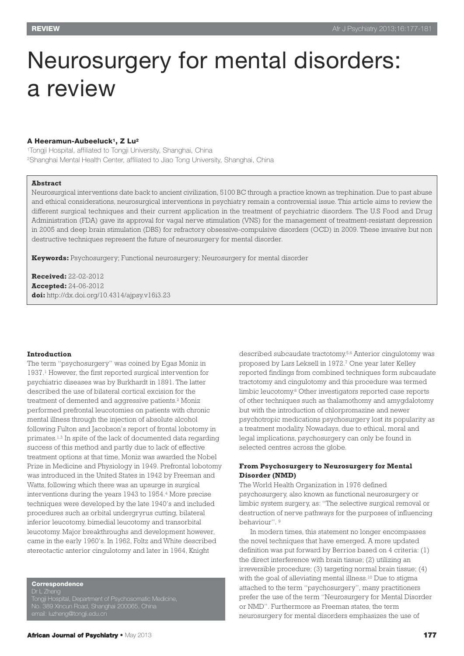# Neurosurgery for mental disorders: a review

## **A Heeramun-Aubeeluck1, Z Lu2**

1Tongji Hospital, affiliated to Tongji University, Shanghai, China 2Shanghai Mental Health Center, affiliated to Jiao Tong University, Shanghai, China

# **Abstract**

Neurosurgical interventions date back to ancient civilization, 5100 BC through a practice known as trephination. Due to past abuse and ethical considerations, neurosurgical interventions in psychiatry remain a controversial issue. This article aims to review the different surgical techniques and their current application in the treatment of psychiatric disorders. The U.S Food and Drug Administration (FDA) gave its approval for vagal nerve stimulation (VNS) for the management of treatment-resistant depression in 2005 and deep brain stimulation (DBS) for refractory obsessive-compulsive disorders (OCD) in 2009. These invasive but non destructive techniques represent the future of neurosurgery for mental disorder.

**Keywords:** Psychosurgery; Functional neurosurgery; Neurosurgery for mental disorder

**Received:** 22-02-2012 **Accepted:** 24-06-2012 **doi:** http://dx.doi.org/10.4314/ajpsy.v16i3.23

#### **Introduction**

The term "psychosurgery" was coined by Egas Moniz in 1937. <sup>1</sup> However, the first reported surgical intervention for psychiatric diseases was by Burkhardt in 1891. The latter described the use of bilateral cortical excision for the treatment of demented and aggressive patients. <sup>2</sup> Moniz performed prefrontal leucotomies on patients with chronic mental illness through the injection of absolute alcohol following Fulton and Jacobson's report of frontal lobotomy in primates. 1,3 In spite of the lack of documented data regarding success of this method and partly due to lack of effective treatment options at that time, Moniz was awarded the Nobel Prize in Medicine and Physiology in 1949. Prefrontal lobotomy was introduced in the United States in 1942 by Freeman and Watts, following which there was an upsurge in surgical interventions during the years 1943 to 1954. <sup>4</sup> More precise techniques were developed by the late 1940's and included procedures such as orbital undergryrus cutting, bilateral inferior leucotomy, bimedial leucotomy and transorbital leucotomy. Major breakthroughs and development however, came in the early 1960's. In 1962, Foltz and White described stereotactic anterior cingulotomy and later in 1964, Knight

**Correspondence**

Tongji Hospital, Department of Psychosomatic Medicine, No. 389 Xincun Road, Shanghai 200065, China

email: luzheng@tongji.edu.cn

described subcaudate tractotomy. 5,6 Anterior cingulotomy was proposed by Lars Leksell in 1972. <sup>7</sup> One year later Kelley reported findings from combined techniques form subcaudate tractotomy and cingulotomy and this procedure was termed limbic leucotomy. <sup>8</sup> Other investigators reported case reports of other techniques such as thalamothomy and amygdalotomy but with the introduction of chlorpromazine and newer psychotropic medications psychosurgery lost its popularity as a treatment modality. Nowadays, due to ethical, moral and legal implications, psychosurgery can only be found in selected centres across the globe.

# **From Psychosurgery to Neurosurgery for Mental Disorder (NMD)**

The World Health Organization in 1976 defined psychosurgery, also known as functional neurosurgery or limbic system surgery, as: "The selective surgical removal or destruction of nerve pathways for the purposes of influencing behaviour". <sup>9</sup>

In modern times, this statement no longer encompasses the novel techniques that have emerged. A more updated definition was put forward by Berrios based on 4 criteria: (1) the direct interference with brain tissue; (2) utilizing an irreversible procedure; (3) targeting normal brain tissue; (4) with the goal of alleviating mental illness. <sup>10</sup> Due to stigma attached to the term "psychosurgery", many practitioners prefer the use of the term "Neurosurgery for Mental Disorder or NMD". Furthermore as Freeman states, the term neurosurgery for mental disorders emphasizes the use of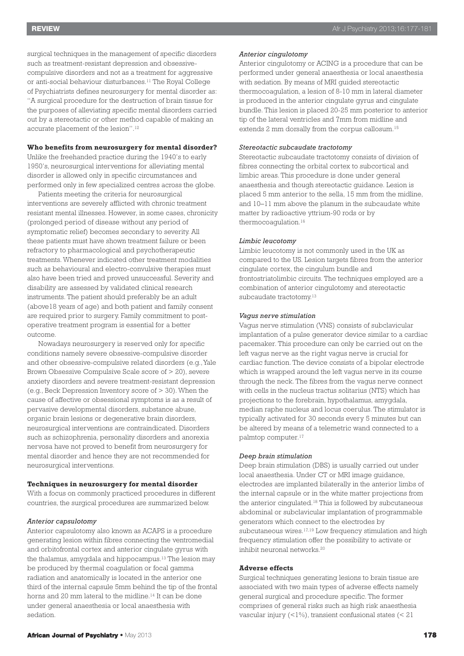surgical techniques in the management of specific disorders such as treatment-resistant depression and obsessivecompulsive disorders and not as a treatment for aggressive or anti-social behaviour disturbances. <sup>11</sup> The Royal College of Psychiatrists defines neurosurgery for mental disorder as: "A surgical procedure for the destruction of brain tissue for the purposes of alleviating specific mental disorders carried out by a stereotactic or other method capable of making an accurate placement of the lesion". 12

# **Who benefits from neurosurgery for mental disorder?**

Unlike the freehanded practice during the 1940's to early 1950's, neurosurgical interventions for alleviating mental disorder is allowed only in specific circumstances and performed only in few specialized centres across the globe.

Patients meeting the criteria for neurosurgical interventions are severely afflicted with chronic treatment resistant mental illnesses. However, in some cases, chronicity (prolonged period of disease without any period of symptomatic relief) becomes secondary to severity. All these patients must have shown treatment failure or been refractory to pharmacological and psychotherapeutic treatments. Whenever indicated other treatment modalities such as behavioural and electro-convulsive therapies must also have been tried and proved unsuccessful. Severity and disability are assessed by validated clinical research instruments. The patient should preferably be an adult (above18 years of age) and both patient and family consent are required prior to surgery. Family commitment to postoperative treatment program is essential for a better outcome.

Nowadays neurosurgery is reserved only for specific conditions namely severe obsessive-compulsive disorder and other obsessive-compulsive related disorders (e.g.,Yale Brown Obsessive Compulsive Scale score of > 20), severe anxiety disorders and severe treatment-resistant depression (e.g., Beck Depression Inventory score of > 30). When the cause of affective or obsessional symptoms is as a result of pervasive developmental disorders, substance abuse, organic brain lesions or degenerative brain disorders, neurosurgical interventions are contraindicated. Disorders such as schizophrenia, personality disorders and anorexia nervosa have not proved to benefit from neurosurgery for mental disorder and hence they are not recommended for neurosurgical interventions.

#### **Techniques in neurosurgery for mental disorder**

With a focus on commonly practiced procedures in different countries, the surgical procedures are summarized below.

### *Anterior capsulotomy*

Anterior capsulotomy also known as ACAPS is a procedure generating lesion within fibres connecting the ventromedial and orbitofrontal cortex and anterior cingulate gyrus with the thalamus, amygdala and hippocampus. <sup>13</sup> The lesion may be produced by thermal coagulation or focal gamma radiation and anatomically is located in the anterior one third of the internal capsule 5mm behind the tip of the frontal horns and 20 mm lateral to the midline. <sup>14</sup> It can be done under general anaesthesia or local anaesthesia with sedation.

# *Anterior cingulotomy*

Anterior cingulotomy or ACING is a procedure that can be performed under general anaesthesia or local anaesthesia with sedation. By means of MRI guided stereotactic thermocoagulation, a lesion of 8-10 mm in lateral diameter is produced in the anterior cingulate gyrus and cingulate bundle. This lesion is placed 20-25 mm posterior to anterior tip of the lateral ventricles and 7mm from midline and extends 2 mm dorsally from the corpus callosum.<sup>15</sup>

# *Stereotactic subcaudate tractotomy*

Stereotactic subcaudate tractotomy consists of division of fibres connecting the orbital cortex to subcortical and limbic areas. This procedure is done under general anaesthesia and though stereotactic guidance. Lesion is placed 5 mm anterior to the sella, 15 mm from the midline, and 10–11 mm above the planum in the subcaudate white matter by radioactive yttrium-90 rods or by thermocoagulation. 16

#### *Limbic leucotomy*

Limbic leucotomy is not commonly used in the UK as compared to the US. Lesion targets fibres from the anterior cingulate cortex, the cingulum bundle and frontostriatolimbic circuits. The techniques employed are a combination of anterior cingulotomy and stereotactic subcaudate tractotomy.<sup>13</sup>

#### *Vagus nerve stimulation*

Vagus nerve stimulation (VNS) consists of subclavicular implantation of a pulse generator device similar to a cardiac pacemaker. This procedure can only be carried out on the left vagus nerve as the right vagus nerve is crucial for cardiac function. The device consists of a bipolar electrode which is wrapped around the left vagus nerve in its course through the neck. The fibres from the vagus nerve connect with cells in the nucleus tractus solitarius (NTS) which has projections to the forebrain, hypothalamus, amygdala, median raphe nucleus and locus coerulus. The stimulator is typically activated for 30 seconds every 5 minutes but can be altered by means of a telemetric wand connected to a palmtop computer. 17

## *Deep brain stimulation*

Deep brain stimulation (DBS) is usually carried out under local anaesthesia. Under CT or MRI image guidance, electrodes are implanted bilaterally in the anterior limbs of the internal capsule or in the white matter projections from the anterior cingulated. <sup>18</sup> This is followed by subcutaneous abdominal or subclavicular implantation of programmable generators which connect to the electrodes by subcutaneous wires.<sup>17,19</sup> Low frequency stimulation and high frequency stimulation offer the possibility to activate or inhibit neuronal networks.<sup>20</sup>

## **Adverse effects**

Surgical techniques generating lesions to brain tissue are associated with two main types of adverse effects namely general surgical and procedure specific. The former comprises of general risks such as high risk anaesthesia vascular injury (<1%), transient confusional states (< 21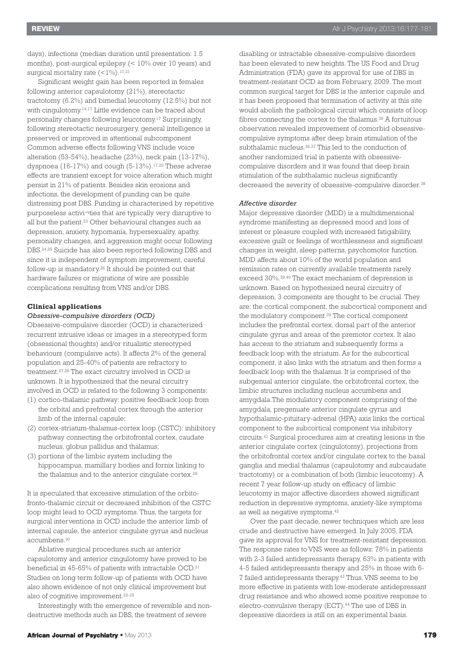days), infections (median duration until presentation: 1.5 months), post-surgical epilepsy (< 10% over 10 years) and surgical mortality rate (<1%). 17,21

Significant weight gain has been reported in females following anterior capsulotomy (21%), stereotactic tractotomy (6.2%) and bimedial leucotomy (12.5%) but not with cingulotomy. 14,17 Little evidence can be traced about personality changes following leucotomy. <sup>17</sup> Surprisingly, following stereotactic neurosurgery, general intelligence is preserved or improved in attentional subcomponent Common adverse effects following VNS include voice alteration (53-54%), headache (23%), neck pain (13-17%), dyspnoea (16-17%) and cough (5-13%). 17,22 These adverse effects are transient except for voice alteration which might persist in 21% of patients. Besides skin erosions and infections, the development of punding can be quite distressing post DBS. Punding is characterised by repetitive purposeless activi¬ties that are typically very disruptive to all but the patient. <sup>23</sup> Other behavioural changes such as depression, anxiety, hypomania, hypersexuality, apathy, personality changes, and aggression might occur following DBS. 24,25 Suicide has also been reported following DBS and since it is independent of symptom improvement, careful follow-up is mandatory. <sup>26</sup> It should be pointed out that hardware failures or migrations of wire are possible complications resulting from VNS and/or DBS.

## **Clinical applications**

# *Obsessive-compulsive disorders (OCD)*

Obsessive-compulsive disorder (OCD) is characterized recurrent intrusive ideas or images in a stereotyped form (obsessional thoughts) and/or ritualistic stereotyped behaviours (compulsive acts). It affects 2% of the general population and 25-40% of patients are refractory to treatment. 27,28 The exact circuitry involved in OCD is unknown. It is hypothesized that the neural circuitry involved in OCD is related to the following 3 components:

- (1) cortico-thalamic pathway: positive feedback loop from the orbital and prefrontal cortex through the anterior limb of the internal capsule;
- (2) cortex-striatum-thalamus-cortex loop (CSTC): inhibitory pathway connecting the orbitofrontal cortex, caudate nucleus, globus pallidus and thalamus;
- (3) portions of the limbic system including the hippocampus, mamillary bodies and fornix linking to the thalamus and to the anterior cingulate cortex.<sup>29</sup>

It is speculated that excessive stimulation of the orbitofronto-thalamic circuit or decreased inhibition of the CSTC loop might lead to OCD symptoms. Thus, the targets for surgical interventions in OCD include the anterior limb of internal capsule, the anterior cingulate gyrus and nucleus accumbens. 30

Ablative surgical procedures such as anterior capsulotomy and anterior cingulotomy have proved to be beneficial in 45-65% of patients with intractable OCD. 31 Studies on long term follow-up of patients with OCD have also shown evidence of not only clinical improvement but also of cognitive improvement. 32-35

Interestingly with the emergence of reversible and nondestructive methods such as DBS, the treatment of severe

disabling or intractable obsessive-compulsive disorders has been elevated to new heights. The US Food and Drug Administration (FDA) gave its approval for use of DBS in treatment-resistant OCD as from February, 2009. The most common surgical target for DBS is the anterior capsule and it has been proposed that termination of activity at this site would abolish the pathological circuit which consists of loop fibres connecting the cortex to the thalamus. <sup>29</sup> A fortuitous observation revealed improvement of comorbid obsessivecompulsive symptoms after deep brain stimulation of the subthalamic nucleus.<sup>36,37</sup> This led to the conduction of another randomized trial in patients with obsessivecompulsive disorders and it was found that deep brain stimulation of the subthalamic nucleus significantly decreased the severity of obsessive-compulsive disorder.<sup>38</sup>

## *Affective disorder*

Major depressive disorder (MDD) is a multidimensional syndrome manifesting as depressed mood and loss of interest or pleasure coupled with increased fatigability, excessive guilt or feelings of worthlessness and significant changes in weight, sleep patterns, psychomotor function. MDD affects about 10% of the world population and remission rates on currently available treatments rarely exceed 30%. 39,40 The exact mechanism of depression is unknown. Based on hypothesized neural circuitry of depression, 3 components are thought to be crucial. They are: the cortical component, the subcortical component and the modulatory component. <sup>29</sup> The cortical component includes the prefrontal cortex, dorsal part of the anterior cingulate gyrus and areas of the premotor cortex. It also has access to the striatum and subsequently forms a feedback loop with the striatum. As for the subcortical component, it also links with the striatum and then forms a feedback loop with the thalamus. It is comprised of the subgenual anterior cingulate, the orbitofrontal cortex, the limbic structures including nucleus accumbens and amygdala.The modulatory component comprising of the amygdala, pregenuate anterior cingulate gyrus and hypothalamic-pituitary-adrenal (HPA) axis links the cortical component to the subcortical component via inhibitory circuits. <sup>41</sup> Surgical procedures aim at creating lesions in the anterior cingulate cortex (cingulotomy), projections from the orbitofrontal cortex and/or cingulate cortex to the basal ganglia and medial thalamus (capsulotomy and subcaudate tractotomy) or a combination of both (limbic leucotomy). A recent 7 year follow-up study on efficacy of limbic leucotomy in major affective disorders showed significant reduction in depressive symptoms, anxiety-like symptoms as well as negative symptoms. 42

Over the past decade, newer techniques which are less crude and destructive have emerged. In July 2005, FDA gave its approval for VNS for treatment-resistant depression. The response rates to VNS were as follows: 78% in patients with 2-3 failed antidepressants therapy, 63% in patients with 4-5 failed antidepressants therapy and 25% in those with 6- 7 failed antidepressants therapy. <sup>43</sup> Thus,VNS seems to be more effective in patients with low-moderate antidepressant drug resistance and who showed some positive response to electro-convulsive therapy (ECT). <sup>44</sup> The use of DBS in depressive disorders is still on an experimental basis.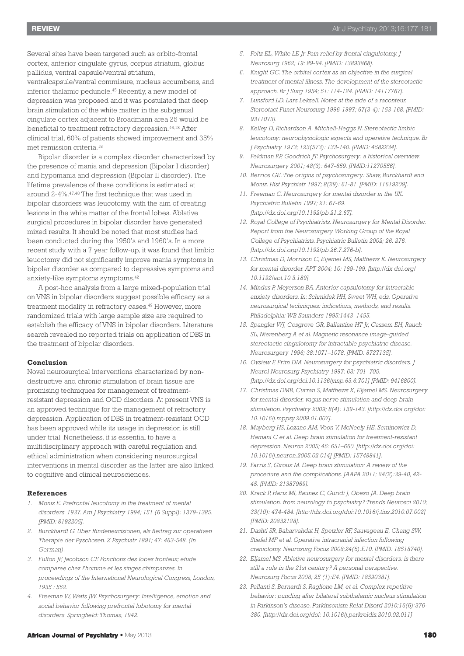Several sites have been targeted such as orbito-frontal cortex, anterior cingulate gyrus, corpus striatum, globus pallidus, ventral capsule/ventral striatum, ventralcapsule/ventral commisure, nucleus accumbens, and

inferior thalamic peduncle. <sup>45</sup> Recently, a new model of depression was proposed and it was postulated that deep brain stimulation of the white matter in the subgenual cingulate cortex adjacent to Broadmann area 25 would be beneficial to treatment refractory depression. 46,18 After clinical trial, 60% of patients showed improvement and 35% met remission criteria. 18

Bipolar disorder is a complex disorder characterized by the presence of mania and depression (Bipolar I disorder) and hypomania and depression (Bipolar II disorder). The lifetime prevalence of these conditions is estimated at around 2-4%. 47,48 The first technique that was used in bipolar disorders was leucotomy, with the aim of creating lesions in the white matter of the frontal lobes. Ablative surgical procedures in bipolar disorder have generated mixed results. It should be noted that most studies had been conducted during the 1950's and 1960's. In a more recent study with a 7 year follow-up, it was found that limbic leucotomy did not significantly improve mania symptoms in bipolar disorder as compared to depressive symptoms and anxiety-like symptoms symptoms. 42

A post-hoc analysis from a large mixed-population trial on VNS in bipolar disorders suggest possible efficacy as a treatment modality in refractory cases. <sup>49</sup> However, more randomized trials with large sample size are required to establish the efficacy of VNS in bipolar disorders. Literature search revealed no reported trials on application of DBS in the treatment of bipolar disorders.

# **Conclusion**

Novel neurosurgical interventions characterized by nondestructive and chronic stimulation of brain tissue are promising techniques for management of treatmentresistant depression and OCD disorders. At present VNS is an approved technique for the management of refractory depression. Application of DBS in treatment-resistant OCD has been approved while its usage in depression is still under trial. Nonetheless, it is essential to have a multidisciplinary approach with careful regulation and ethical administration when considering neurosurgical interventions in mental disorder as the latter are also linked to cognitive and clinical neurosciences.

#### **References**

- *1. Moniz E. Prefrontal leucotomy in the treatment of mental disorders. 1937. Am J Psychiatry 1994; 151 (6 Suppl): 1379-1385. [PMID: 8192205].*
- *2. Burckhardt G. Uber Rindenexcisionen, als Beitrag zur operativen Therapie der Pyschosen. Z Psychiatr 1891; 47: 463-548. (In German).*
- *3. Fulton JF, Jacobson CF. Fonctions des lobes frontaux; etude comparee chez l'homme et les singes chimpanzes. In proceedings of the International Neurological Congress, London, 1935 : 552.*
- *4. Freeman W, Watts JW. Psychosurgery: Intelligence, emotion and social behavior following prefrontal lobotomy for mental disorders. Springfield: Thomas, 1942.*
- *5. Foltz EL, White LE Jr. Pain relief by frontal cingulotomy. J Neurosurg 1962; 19: 89-94. [PMID: 13893868].*
- *6. Knight GC. The orbital cortex as an objective in the surgical treatment of mental illness. The development of the stereotactic approach. Br J Surg 1954; 51: 114-124. [PMID: 14117767].*
- *7. Lunsford LD. Lars Leksell. Notes at the side of a raconteur. Stereotact Funct Neurosurg 1996-1997; 67(3-4): 153-168. [PMID: 9311073].*
- *8. Kelley D, Richardson A, Mitchell-Heggs N. Stereotactic limbic leucotomy: neurophysiologic aspects and operative technique. Br J Psychiatry 1973; 123(573): 133-140. [PMID: 4582234].*
- *9. Feldman RP, Goodrich JT. Psychosurgery: a historical overview. Neurosurgery 2001; 48(3): 647-659. [PMID:11270556].*
- *10. Berrios GE. The origins of psychosurgery: Shaw, Burckhardt and Moniz. Hist Psychiatr 1997; 8(29): 61-81. [PMID: 11619209].*
- *11. Freeman C. Neurosurgery for mental disorder in the UK. Psychiatric Bulletin 1997; 21: 67-69. [http://dx.doi.org/10.1192/pb.21.2.67].*
- *12. Royal College of Psychiatrists. Neurosurgery for Mental Disorder. Report from the Neurosurgery Working Group of the Royal College of Psychiatrists. Psychiatric Bulletin 2002; 26: 276. [http://dx.doi.org/10.1192/pb.26.7.276-b].*
- *13. Christmas D, Morrison C, Eljamel MS, Matthews K. Neurosurgery for mental disorder. APT 2004; 10: 189-199. [http://dx.doi.org/ 10.1192/apt.10.3.189].*
- *14. Mindus P, Meyerson BA. Anterior capsulotomy for intractable anxiety disorders. In: Schmidek HH, Sweet WH, eds. Operative neurosurgical techniques: indications, methods, and results. Philadelphia: WB Saunders 1995:1443–1455.*
- *15. Spangler WJ, Cosgrove GR, Ballantine HT Jr, Cassem EH, Rauch SL, Nierenberg A et al. Magnetic resonance image-guided stereotactic cingulotomy for intractable psychiatric disease. Neurosurgery 1996; 38:1071–1078. [PMID: 8727135].*
- *16. Ovsiew F, Frim DM. Neurosurgery for psychiatric disorders. J Neurol Neurosurg Psychiatry 1997; 63: 701–705. [http://dx.doi.org/doi:10.1136/jnnp.63.6.701] [PMID: 9416800].*
- *17. Christmas DMB, Curran S, Matthews K, Eljamel MS. Neurosurgery for mental disorder, vagus nerve stimulation and deep brain stimulation. Psychiatry 2009; 8(4): 139-143. [http://dx.doi.org/doi: 10.1016/j.mppsy.2009.01.007].*
- *18. Mayberg HS, Lozano AM, Voon V, McNeely HE, Seminowicz D, Hamani C et al. Deep brain stimulation for treatment-resistant depression. Neuron 2005; 45: 651–660. [http://dx.doi.org/doi: 10.1016/j.neuron.2005.02.014] [PMID: 15748841].*
- *19. Farris S, Giroux M. Deep brain stimulation: A review of the procedure and the complications. JAAPA 2011; 24(2):39-40, 42- 45. [PMID: 21387969].*
- *20. Krack P, Hariz MI, Baunez C, Guridi J, Obeso JA. Deep brain stimulation: from neurology to psychiatry? Trends Neurosci 2010; 33(10): 474-484. [http://dx.doi.org/doi:10.1016/j.tins.2010.07.002] [PMID: 20832128].*
- *21. Dashti SR, Baharvahdat H, Spetzler RF, Sauvageau E, Chang SW, Stiefel MF et al. Operative intracranial infection following craniotomy. Neurosurg Focus 2008;24(6):E10. [PMID: 18518740].*
- *22. Eljamel MS. Ablative neurosurgery for mental disorders: is there still a role in the 21st century? A personal perspective. Neurosurg Focus 2008; 25 (1):E4. [PMID: 18590381].*
- *23. Pallanti S, Bernardi S, Raglione LM, et al. Complex repetitive behavior: punding after bilateral subthalamic nucleus stimulation in Parkinson's disease. Parkinsonism Relat Disord 2010;16(6):376- 380. [http://dx.doi.org/doi: 10.1016/j.parkreldis.2010.02.011]*